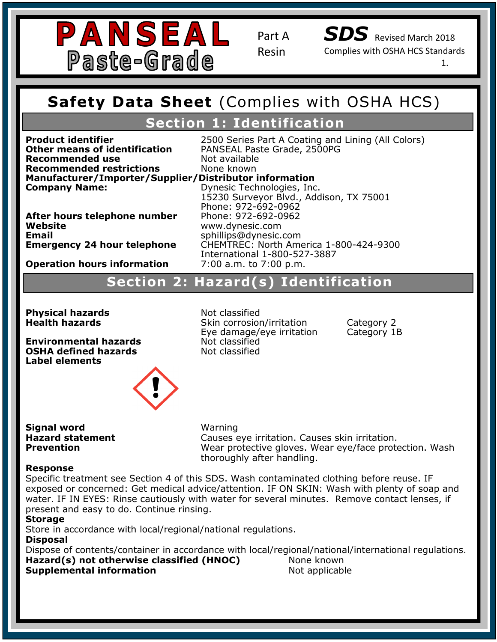

*SDS* Revised March 2018

Complies with OSHA HCS Standards

1.

## **Safety Data Sheet (Complies with OSHA Safety Data Sheet** (Complies with OSHA HCS)

## **Section 1: Identification**

**Recommended restrictions**<br>Manufacturer/Importer/Supplier/Distributor information **Section 1: Identification Other means of identification** PANSEAL Paste Grade, 2500PG **Recommended use** Not available<br> **Recommended restrictions** None known **Recommended restrictions** 

**Product identifier** 2500 Series Part A Coating and Lining (All Colors)

**Emergency Contact:** Same as Above Website<br>Email **Emergency 24 hour telephone** 

**Company Name: Company Name:** 15230 Dynesic Technologies, Inc. 2500011 Dynesic Technologies, Inc. **After hours telephone number** Phone: 972-692-0962<br>Website 15230 Surveyor Blvd., Addison, TX 75001 Phone: 972-692-0962 **Website** www.dynesic.com **Email** sphillips@dynesic.com **Emergency 24 hour telephone** CHEMTREC: North America 1-800-424-9300 International 1-800-527-3887<br>7:00 a.m. to 7:00 p.m.

## **Operation hours information 2:00 a.m. to 7:00 p.m.**

### **Section 2 Hazard Statement(s): H317 Prolonged exposure may cause an allergic skin reaction. Section 2: Hazard(s) Identification Section 2: Hazard(s) Identification**

**Physical hazards** Not classified

Phone: 972-692-0962

**Precaution Statements:** P101: If  $\alpha$  is neglected, have product container or label at hand. If  $\alpha$ **Environmental hazards Not classified**<br> **OSHA defined hazards Not classified OSHA defined hazards Label elements**

**Health hazards Skin corrosion/irritation** Category 2 Eye damage/eye irritation Category 1B

P102: Keep out of reach of children . P103: Read label before use. P261: Avoid breathing dust/fume/gas/mist/vapors/spray. P280: Wear Protective gloves/protective clothing/eye and face protection.

**Signal word Warning** 

 $M$ 3 $r$ nin  $\sigma$ **Hazard statement Example Statement** Causes eye irritation. Causes skin irritation. **Prevention Example 20 Intervention Wear protective gloves. Wear eye/face protection. Wash** thoroughly after handling.

### ${\sf Response}$  and  ${\sf response}$  and  ${\sf A}$  and  ${\sf A}$  and  ${\sf A}$  and  ${\sf A}$  and  ${\sf A}$  and  ${\sf A}$  and  ${\sf A}$  and  ${\sf A}$  and  ${\sf A}$  and  ${\sf A}$  and  ${\sf A}$  and  ${\sf A}$  and  ${\sf A}$  and  ${\sf A}$  and  ${\sf A}$  and  ${\sf A}$  and  ${\sf A}$  and  ${\sf A}$  and  ${\$

Specific treatment see Section 4 of this SDS. Wash contaminated clothing before reuse. IF exposed of concerned. Get medical advice/attention. IF ON SKIN. Wash with pienty of soap an<br>water. IF IN EYES: Rinse cautiously with water for several minutes. Remove contact lenses, if mater: 11 IN ETES: Kinse caddodsi, Mini Mater Tor exposed or concerned: Get medical advice/attention. IF ON SKIN: Wash with plenty of soap and

### **Storage**

Store in accordance with local/regional/national regulations.

**Disposal** 

Dispose of contents/container in accordance with local/regional/national/international regulations. **Hazard(s) not otherwise classified (HNOC)** None known<br>Sunnlamental information **Supplemental information Not applicable**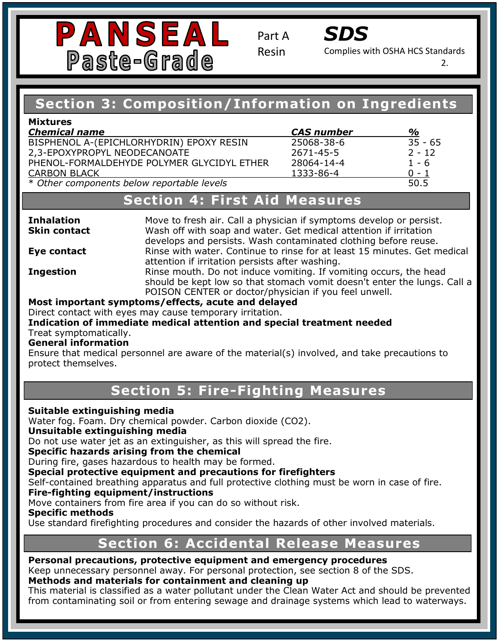



Complies with OSHA HCS Standards

2.

### **Si** Composition, Information on Ingre **Section 3: Composition/Information on Ingredients**

| <b>Mixtures</b>                            |                   |           |
|--------------------------------------------|-------------------|-----------|
| <b>Chemical name</b>                       | <b>CAS number</b> | %         |
| BISPHENOL A-(EPICHLORHYDRIN) EPOXY RESIN   | 25068-38-6        | $35 - 65$ |
| 2,3-EPOXYPROPYL NEODECANOATE               | 2671-45-5         | $2 - 12$  |
| PHENOL-FORMALDEHYDE POLYMER GLYCIDYL ETHER | 28064-14-4        | $1 - 6$   |
| <b>CARBON BLACK</b>                        | 1333-86-4         | $0 - 1$   |
| * Other components below reportable levels |                   | 50.5      |

### **Emergency Contact:** Same as Above **Section 4: First Aid Measures**

**Inhalation** Move to fresh air. Call a physician if symptoms develop or persist. **Skin contact Eve contact Ingestion EXECTS CONSTITY 2 CONSTITY** 22 **INGLES CONSTITY CONSTITY EXECTS CONSTITY CONSTITY CONSTITY CONSTITY CONSTITY CONSTITY CONSTITY CONSTITY CONSTITY CONSTITY CONSTITY CONSTITY C Ingestion** 2: Kinse mouth. Do not induce vomiting. If vomiting occurs, the head<br>should be kept low so that stomach vomit doesn't enter the lungs. Call a POISON CENTER or doctor/physician if you feel unwell. Wash off with soap and water. Get medical attention if irritation develops and persists. Wash contaminated clothing before reuse. **Eye contact** Rinse with water. Continue to rinse for at least 15 minutes. Get medical attention if irritation persists after washing. **Most important symptoms/effects, acute and delayed** 

Direct contact with eyes may cause temporary irritation. **Indication of immediate medical attention and special treatment needed**  Treat symptomatically.

### **General information**

Phone: 972-692-0962

**Protect themselves. P101: If advice is needed, have protect container or label at hand.** Ensure that medical personnel are aware of the material(s) involved, and take precautions to

### ion 5: Fire-Fi*g* P261: Avoid breathing dust/fume/gas/mist/vapors/spray. **Section 5: Fire-Fighting Measures**

#### **P280: Wear Protective gloves/protective gloves/protective clothing/eye and face protective clothing/eye and face protective control of the control of the control of the control of the control of the control of the control Suitable extinguishing media**

Water fog. Foam. Dry chemical powder. Carbon dioxide (CO2). dispose of container in accordance with local/regional/regional/regional/regional/regional/regional/regional/n<br>Property of container in accordance with local/regional/national/national/national/national/national/national/ Do not use water jet as an extinguisher, as this will spread the fire.<br>Specific haranda arising from the chamical **Special protective equipment and precautions for firefighters** Self-contained breathing apparatus and full protective clothing must be worn in case of fire. Instability: 0 **Fire-fighting equipment/instructions**  Move containers from fire area if you can do so without risk. Use standard firefighting procedures and consider the hazards of other involved materials. **Section 6: Accidental Release Measures Unsuitable extinguishing media Specific hazards arising from the chemical**  During fire, gases hazardous to health may be formed. **Specific methods** 

#### <u>Installer</u> **Personal precautions, protective equipment and emergency procedures**

Personal precautions, protective equipment and emergency procedures<br>Keep unnecessary personnel away. For personal protection, see section 8 of the SDS.

### **Methods and materials for containment and cleaning up**

This material is classified as a water pollutant under the Clean Water Act and should be prevented from contaminating soil or from entering sewage and drainage systems which lead to waterways.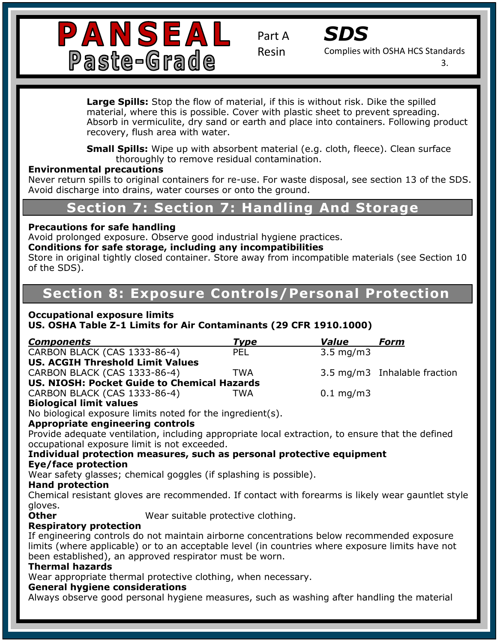



Complies with OSHA HCS Standards

3.

material, where this is possible. Cover with plastic sheet to prevent spreading. **Large Spills:** Stop the flow of material, if this is without risk. Dike the spilled Absorb in vermiculite, dry sand or earth and place into containers. Following product recovery, flush area with water.

**Small Spills:** Wipe up with absorbent material (e.g. cloth, fleece). Clean surface thoroughly to remove residual contamination.

## **Environmental precautions**

**CONTACT INFORMATION: Information: Information: Inc. 15230** Surveyor Blueston: Inc. 15230 Surveyor Blueston, Inte<br>Avoid discharge into drains, water sources or onto the ground Avoid discharge into drains, water courses or onto the ground. Never return spills to original containers for re-use. For waste disposal, see section 13 of the SDS.

## **Emargency Contact: Section 7: Handling And Storage**

## **Precautions for safe handling and the coating for induced, under the coating for induced, under the coating for**

Precautions for sare nandling<br>Avoid prolonged exposure. Observe good industrial hygiene practices.

### **Chemical Family:** Novolac Epoxies **Conditions for safe storage, including any incompatibilities**

**Hazard Classification: Skin Irritant- Category 2** of the SDS). **Section 2: Hazard(s) Identification** Store in original tightly closed container. Store away from incompatible materials (see Section 10

## **Section 8: Exposure Controls/Personal Protection**

### **Pictogram: Occupational exposure limits**

**Signal Word: Warning**

**US. OSHA Table Z-1 Limits for Air Contaminants (29 CFR 1910.1000)** 

| <b>Components</b>                           | Type | Value                   | Form                         |
|---------------------------------------------|------|-------------------------|------------------------------|
| CARBON BLACK (CAS 1333-86-4)                | PEL  | $3.5 \text{ mg/m}$      |                              |
| <b>US. ACGIH Threshold Limit Values</b>     |      |                         |                              |
| CARBON BLACK (CAS 1333-86-4)                | TWA  |                         | 3.5 mg/m3 Inhalable fraction |
| US. NIOSH: Pocket Guide to Chemical Hazards |      |                         |                              |
| CARBON BLACK (CAS 1333-86-4)                | TWA  | $0.1 \,\mathrm{mq/m}$ 3 |                              |
| <b>Biological limit values</b>              |      |                         |                              |

### **Biological limit values**

Protogram milits varies<br>No biological exposure limits noted for the ingredient(s).

### Appropriate engineering controls **our medical attention. The medical attention**. The control of the control of the control of the control of the control of the control of the control of the control of the control of the co

Provide adequate ventilation, including appropriate local extraction, to ensure that the defined occupational exposure limit is not exceeded. The contract of the contract of the contract of the contract of the contract of the contract of the contract of the contract of the contract of the contract of the contract of t

### **Individual protection measures, such as personal protective equipment Eye/face protection**

**Lye/Tace protection**<br>Moar cafoty glasses: chomical goggles (if splas) Flammability: 11 Spice Wear safety glasses; chemical goggles (if splashing is possible).

### **Hand protection**

Chemical resistant gloves are recommended. If contact with forearms is likely wear gauntlet style gloves.

**Other Wear suitable protective clothing.** 

#### **H**<br>History protection<br>Management of the local development of the local development of the local development of the local development o **Respiratory protection**

In engineering controis do not maintain airborne concentrations below recommended exposure<br>limits (where applicable) or to an acceptable level (in countries where exposure limits have not Innies (where applicable) of to all acceptable lever (in codi-<br>been established), an approved respirator must be worn. Personal Protection Index: C If engineering controls do not maintain airborne concentrations below recommended exposure

### **Thermal hazards**

Wear appropriate thermal protective clothing, when necessary.

### **General hygiene considerations**

Always observe good personal hygiene measures, such as washing after handling the material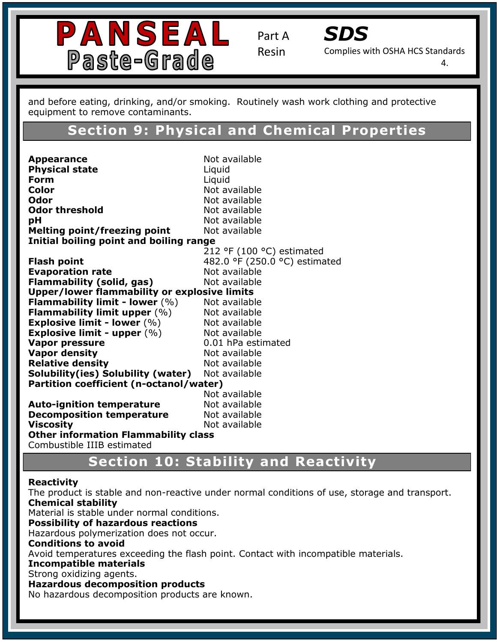



Complies with OSHA HCS Standards

4.

equipment to remove contaminants. and before eating, drinking, and/or smoking. Routinely wash work clothing and protective

## **Section 1: Identification Section 9: Physical and Chemical Properties**

**Trade Name:** SC-4400 **Physical state** Liquid **Contact Information: Information: Information: Information: Information: Information: Information: Information**<br>Color Color<br>Odor **Odor threshold** Not available **PH** Not available and temperature resistant, UV stabilized, under the indoor and temperature resistant, under the indoor and temperature resistant, under the induced, under the induced, under the induced, under the induce **Melting point/freezing point** Not available **Initial boiling point and boiling range Hash point**<br>**Evaporation rate Not** available **Flammability (solid, gas)** Not available **Upper/lower flammability or explosive limits Flammability limit upper** (%) Not available **Precautive density and advice is needed, have product container or label at hand.** The product container or label at hand. The product container or label at hand. The product container or label at hand. The product contai Not available **Partition coefficient (n-octanol/water)** Not available Not available P333+P313: If skin irritation/rash occurs, get medical attention. **Viscosity** Not available **Other information Flammability class**  and the content of the content of the content of the content of the content of the content of the content of the content of the content of the content of the content of the content o and intl. regulations. **Not available<br>Not available Appearance** Not available **Form** Liquid **Color** Not available **Odor** Not available 212 °F (100 °C) estimated **Flash point 1988 1988 1988 482.0 °F** (250.0 °C) estimated **Flammability limit - lower** (%) Not available **Explosive limit - lower** (%) Not available **Explosive limit - upper**  $(\%)$  Not available **Vapor pressure** 0.01 hPa estimated **Vapor density Not available Solubility(ies) Solubility (water)** Not available **Auto-ignition temperature Decomposition temperature** Combustible IIIB estimated

# **NFPA REACTES SECTION 10: Stability and Reactivity**

### **Reactivity**

The product is stable and non-reactive under normal conditions of use, storage and transport. Specific Hazard: N/A **Hims School Constitutions**<br>Hazardous polymerization does not occur. Flammability: 1 Avoid temperatures exceeding the flash point. Contact with incompatible materials. **Chemical stability**  Material is stable under normal conditions. **Possibility of hazardous reactions Conditions to avoid Incompatible materials**  Strong oxidizing agents. **Hazardous decomposition products**  No hazardous decomposition products are known.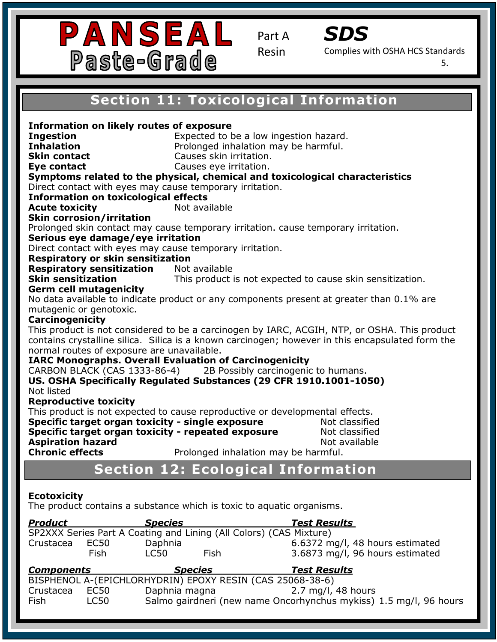



Complies with OSHA HCS Standards

5.

## **Section 11: Toxicological Information**

**Eye contact**<br>Symptoms related to the physical, chemical and toxicological characteristics Direct contact with eyes may cause temporary irritation. **Information on toxicological effects Acute toxicity Example 20** Not available **Acute toxicity Contact:** Not available **Recommended Use: A Recommended USE: A Recommended USE: A Recommended USE: A Recommended Coating for industries**<br>The coating for industrial for industrial for industrial for industrial for industrial for industrial for ind Prolonged skin contact may cause temporary irritation. cause temporary irritation.<br>Cariaus ave damage (ave invitation) **Chrous cyclumings, eye in hation**<br>Direct contact with eyes may cause temporary irritation. **Respiratory sensitization** Not available **Skin sensitization Hara** Serm cell mutagenicity is a statement of the statement of the statement of the statement of the statement of the statement of the statement of the statement of the statement of the statement of the statement of the **Pictogram: Carcinogenicity IARC Monographs. Overall Evaluation of Carcinogenicity and at hand.** P102: Keep out of reach of children . US. OSHA Specifically Regulated Substances (29 CFR 1910.1001-1050)<br>Net listed This product is not expected to cause reproductive or developmental effects. **Specific target organ toxicity - single exposure Mot classified <b>Specific target organ toxicity - single exposure Specific target organ toxicity - repeated exposure Not classified <b>Specific target organ toxicity - repeated exposure** aspiration nazard<br>Chronic effects **Chronic effects** Prolonged inhalation may be harmful. **NFPA Ration 2: Ecological Information** Flammability: 1 **Safety Data Sheet (Complies with OSHA HCS Section 1: Inhalation**<br> **Inhalation Inhalation Prolonged inhalation may be harmful. Section 2: Hazard(s) Identification Skin sensitization** This product is not expected to cause skin sensitization. **Information on likely routes of exposure Ingestion Expected to be a low ingestion hazard. Skin contact** Causes skin irritation. **Eve contact** Causes eve irritation. **Skin corrosion/irritation Serious eye damage/eye irritation Respiratory or skin sensitization Germ cell mutagenicity**  No data available to indicate product or any components present at greater than 0.1% are mutagenic or genotoxic. This product is not considered to be a carcinogen by IARC, ACGIH, NTP, or OSHA. This product contains crystalline silica. Silica is a known carcinogen; however in this encapsulated form the normal routes of exposure are unavailable. CARBON BLACK (CAS 1333-86-4) 2B Possibly carcinogenic to humans. Not listed **Reproductive toxicity Aspiration hazard and all and available in the set of a set of a set of a set of a set of a set of a set of a** 

### **Ecotoxicity**

The product contains a substance which is toxic to aquatic organisms.

| <b>Product</b>    |             | <b>Species</b> |                                                                    | <b>Test Results</b>             |
|-------------------|-------------|----------------|--------------------------------------------------------------------|---------------------------------|
|                   |             |                | SP2XXX Series Part A Coating and Lining (All Colors) (CAS Mixture) |                                 |
| Crustacea         | EC50        | Daphnia        |                                                                    | 6.6372 mg/l, 48 hours estimated |
|                   | <b>Fish</b> | LC50           | Fish                                                               | 3.6873 mg/l, 96 hours estimated |
| <b>Components</b> |             | <b>Species</b> |                                                                    | <b>Test Results</b>             |
|                   |             |                |                                                                    |                                 |
|                   |             |                | BISPHENOL A-(EPICHLORHYDRIN) EPOXY RESIN (CAS 25068-38-6)          |                                 |
| Crustacea         | EC50        | Daphnia magna  |                                                                    | 2.7 mg/l, 48 hours              |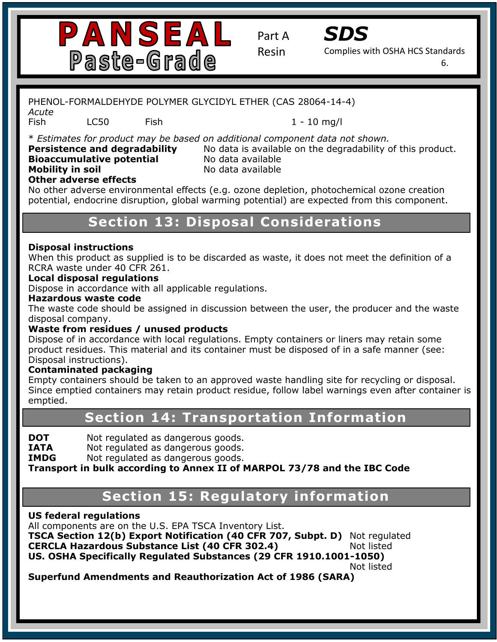



Complies with OSHA HCS Standards

6.

### **Safety Data Sheet (Complies with OSHA HCS** PHENOL-FORMALDEHYDE POLYMER GLYCIDYL ETHER (CAS 28064-14-4)

*Acute*

Fish LC50 Fish 1 - 10 mg/l

**Section 1: Identification Persistence and degradability** No data is available on the degradability of this product. \* *Estimates for product may be based on additional component data not shown.* 

**Mobility in soil CC-4400 Modata available Bioaccumulative potential** No data available

### **Other adverse effects**

**Other adverse errects**<br>No other adverse environmental effects (e.g. ozone depletion, photochemical ozone creation no other daverse environmental enects (erg. ozone depleton) photoenenmed ozone eredton<br>potential, endocrine disruption, global warming potential) are expected from this component. **Emergency Contact:** Same as Above

### **Recommendied Section 13: Disposal Considerations** and coating for industry  $\mathbf{C}$ outdoor surfaces.

### **Chemical Family:** Novolac Epoxies **Disposal instructions**

RCRA waste under 40 CFR 261. **SECTION 2: HAZARD** When this product as supplied is to be discarded as waste, it does not meet the definition of a

### **Signal Word: Warning Local disposal regulations**

Dispose in accordance with all applicable regulations.<br> **We can all all all applicable regulations**.

### **Hazardous waste code**

**Pinc waste code site**<br>disposal company. The waste code should be assigned in discussion between the user, the producer and the waste

### **Waste from residues / unused products**

**Pisposal instructions).**<br> **P** Dispose of in accordance with local regulations. Empty containers or liners may retain some product residues. This material and its container must be disposed of in a safe manner (see:

### **Contaminated packaging**

**Contammated packaging**<br>Empty containers should be taken to an approved waste handling site for recycling or disposal. Empty containers should be taken to an approved waste handling site for recyting or disposal.<br>Since emptied containers may retain product residue, follow label warnings even after container is P261: Avoid breathing dust/fume/gas/mist/vapors/spray. emptied.

### P280: Wear Protective gloves/protective clothing/eye and face protection. P333+P313: If skin irritation/rash occurs, get medical attention. **Section 14: Transportation Information**

**DOT** Not regulated as dangerous goods.

**IATA** Not regulated as dangerous goods.

**IMDG** Not regulated as dangerous goods.

**Transport in bulk according to Annex II of MARPOL 73/78 and the IBC Code** 

### **Section 15: Regulatory information** shi Hazard: Nicholas

### **US federal regulations**

All components are on the U.S. EPA TSCA Inventory List.<br>Tags a set in the U.S. Health: 1200 CEP To The List of the CEP To The List of the List of the List of the List o

**Fack Section 12(b) Export Notification (40 CFR 707, Subpt. D)** Not regula<br>**CERCLA Hazardous Substance List (40 CFR 302.4)** Not listed Instability: 0 **US. OSHA Specifically Regulated Substances (29 CFR 1910.1001-1050)**  Personal Protection Index: C **TSCA Section 12(b) Export Notification (40 CFR 707, Subpt. D)** Not regulated

Not listed

**Superfund Amendments and Reauthorization Act of 1986 (SARA)**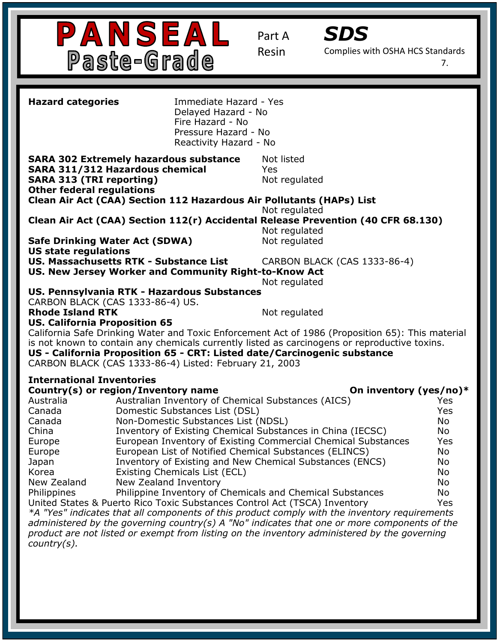



Complies with OSHA HCS Standards

7.

| <b>Hazard categories</b>                                                                                                                                       | Immediate Hazard - Yes<br>Delayed Hazard - No<br>Fire Hazard - No<br>Pressure Hazard - No<br>Reactivity Hazard - No |                                                                                                  |            |  |
|----------------------------------------------------------------------------------------------------------------------------------------------------------------|---------------------------------------------------------------------------------------------------------------------|--------------------------------------------------------------------------------------------------|------------|--|
| <b>SARA 302 Extremely hazardous substance</b><br><b>SARA 311/312 Hazardous chemical</b><br><b>SARA 313 (TRI reporting)</b><br><b>Other federal regulations</b> |                                                                                                                     | Not listed<br>Yes<br>Not regulated                                                               |            |  |
| Clean Air Act (CAA) Section 112 Hazardous Air Pollutants (HAPs) List                                                                                           |                                                                                                                     |                                                                                                  |            |  |
|                                                                                                                                                                |                                                                                                                     | Not regulated                                                                                    |            |  |
|                                                                                                                                                                |                                                                                                                     | Clean Air Act (CAA) Section 112(r) Accidental Release Prevention (40 CFR 68.130)                 |            |  |
|                                                                                                                                                                |                                                                                                                     | Not regulated                                                                                    |            |  |
| <b>Safe Drinking Water Act (SDWA)</b>                                                                                                                          |                                                                                                                     | Not regulated                                                                                    |            |  |
| <b>US state regulations</b>                                                                                                                                    |                                                                                                                     |                                                                                                  |            |  |
| <b>US. Massachusetts RTK - Substance List</b>                                                                                                                  |                                                                                                                     | CARBON BLACK (CAS 1333-86-4)                                                                     |            |  |
| US. New Jersey Worker and Community Right-to-Know Act                                                                                                          |                                                                                                                     |                                                                                                  |            |  |
|                                                                                                                                                                |                                                                                                                     | Not regulated                                                                                    |            |  |
| US. Pennsylvania RTK - Hazardous Substances                                                                                                                    |                                                                                                                     |                                                                                                  |            |  |
| CARBON BLACK (CAS 1333-86-4) US.                                                                                                                               |                                                                                                                     |                                                                                                  |            |  |
| <b>Rhode Island RTK</b>                                                                                                                                        |                                                                                                                     | Not regulated                                                                                    |            |  |
| <b>US. California Proposition 65</b>                                                                                                                           |                                                                                                                     |                                                                                                  |            |  |
|                                                                                                                                                                |                                                                                                                     |                                                                                                  |            |  |
|                                                                                                                                                                |                                                                                                                     | California Safe Drinking Water and Toxic Enforcement Act of 1986 (Proposition 65): This material |            |  |
|                                                                                                                                                                |                                                                                                                     | is not known to contain any chemicals currently listed as carcinogens or reproductive toxins.    |            |  |
| US - California Proposition 65 - CRT: Listed date/Carcinogenic substance                                                                                       |                                                                                                                     |                                                                                                  |            |  |
| CARBON BLACK (CAS 1333-86-4) Listed: February 21, 2003                                                                                                         |                                                                                                                     |                                                                                                  |            |  |
| <b>International Inventories</b>                                                                                                                               |                                                                                                                     |                                                                                                  |            |  |
| Country(s) or region/Inventory name                                                                                                                            |                                                                                                                     | On inventory (yes/no)*                                                                           |            |  |
| Australia                                                                                                                                                      |                                                                                                                     | Australian Inventory of Chemical Substances (AICS)                                               | <b>Yes</b> |  |
| Canada                                                                                                                                                         | Domestic Substances List (DSL)                                                                                      |                                                                                                  | Yes        |  |
| Canada                                                                                                                                                         | Non-Domestic Substances List (NDSL)                                                                                 |                                                                                                  | No         |  |
| China                                                                                                                                                          |                                                                                                                     |                                                                                                  |            |  |
|                                                                                                                                                                |                                                                                                                     | Inventory of Existing Chemical Substances in China (IECSC)                                       | No         |  |
| Europe                                                                                                                                                         |                                                                                                                     | European Inventory of Existing Commercial Chemical Substances                                    | Yes        |  |
| Europe                                                                                                                                                         |                                                                                                                     | European List of Notified Chemical Substances (ELINCS)                                           | No         |  |
| Japan                                                                                                                                                          |                                                                                                                     | Inventory of Existing and New Chemical Substances (ENCS)                                         | No         |  |
| Korea                                                                                                                                                          | Existing Chemicals List (ECL)                                                                                       |                                                                                                  | No         |  |
| New Zealand Inventory<br>New Zealand                                                                                                                           |                                                                                                                     |                                                                                                  | No.        |  |
| Philippines                                                                                                                                                    |                                                                                                                     | Philippine Inventory of Chemicals and Chemical Substances                                        | No         |  |
| United States & Puerto Rico Toxic Substances Control Act (TSCA) Inventory                                                                                      |                                                                                                                     |                                                                                                  | Yes        |  |
|                                                                                                                                                                |                                                                                                                     | *A "Yes" indicates that all components of this product comply with the inventory requirements    |            |  |
| administered by the governing country(s) A "No" indicates that one or more components of the                                                                   |                                                                                                                     |                                                                                                  |            |  |
|                                                                                                                                                                |                                                                                                                     | product are not listed or exempt from listing on the inventory administered by the governing     |            |  |
| $Country(s)$ .                                                                                                                                                 |                                                                                                                     |                                                                                                  |            |  |